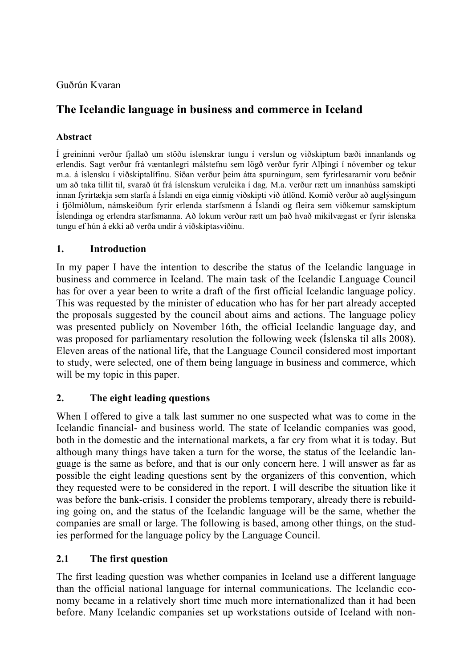# Guðrún Kvaran

# **The Icelandic language in business and commerce in Iceland**

#### **Abstract**

Í greininni verður fjallað um stöðu íslenskrar tungu í verslun og viðskiptum bæði innanlands og erlendis. Sagt verður frá væntanlegri málstefnu sem lögð verður fyrir Alþingi í nóvember og tekur m.a. á íslensku í viðskiptalífinu. Síðan verður þeim átta spurningum, sem fyrirlesararnir voru beðnir um að taka tillit til, svarað út frá íslenskum veruleika í dag. M.a. verður rætt um innanhúss samskipti innan fyrirtækja sem starfa á Íslandi en eiga einnig viðskipti við útlönd. Komið verður að auglýsingum í fjölmiðlum, námskeiðum fyrir erlenda starfsmenn á Íslandi og fleira sem viðkemur samskiptum Íslendinga og erlendra starfsmanna. Að lokum verður rætt um það hvað mikilvægast er fyrir íslenska tungu ef hún á ekki að verða undir á viðskiptasviðinu.

#### **1. Introduction**

In my paper I have the intention to describe the status of the Icelandic language in business and commerce in Iceland. The main task of the Icelandic Language Council has for over a year been to write a draft of the first official Icelandic language policy. This was requested by the minister of education who has for her part already accepted the proposals suggested by the council about aims and actions. The language policy was presented publicly on November 16th, the official Icelandic language day, and was proposed for parliamentary resolution the following week (Íslenska til alls 2008). Eleven areas of the national life, that the Language Council considered most important to study, were selected, one of them being language in business and commerce, which will be my topic in this paper.

# **2. The eight leading questions**

When I offered to give a talk last summer no one suspected what was to come in the Icelandic financial- and business world. The state of Icelandic companies was good, both in the domestic and the international markets, a far cry from what it is today. But although many things have taken a turn for the worse, the status of the Icelandic language is the same as before, and that is our only concern here. I will answer as far as possible the eight leading questions sent by the organizers of this convention, which they requested were to be considered in the report. I will describe the situation like it was before the bank-crisis. I consider the problems temporary, already there is rebuilding going on, and the status of the Icelandic language will be the same, whether the companies are small or large. The following is based, among other things, on the studies performed for the language policy by the Language Council.

# **2.1 The first question**

The first leading question was whether companies in Iceland use a different language than the official national language for internal communications. The Icelandic economy became in a relatively short time much more internationalized than it had been before. Many Icelandic companies set up workstations outside of Iceland with non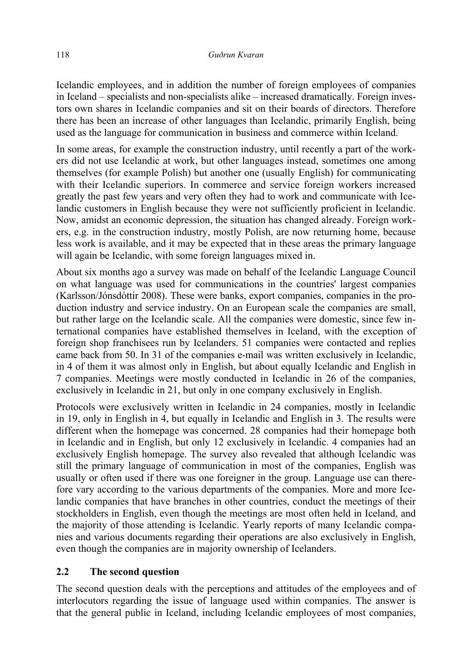Icelandic employees, and in addition the number of foreign employees of companies in Iceland – specialists and non-specialists alike – increased dramatically. Foreign investors own shares in Icelandic companies and sit on their boards of directors. Therefore there has been an increase of other languages than Icelandic, primarily English, being used as the language for communication in business and commerce within Iceland.

In some areas, for example the construction industry, until recently a part of the workers did not use Icelandic at work, but other languages instead, sometimes one among themselves (for example Polish) but another one (usually English) for communicating with their Icelandic superiors. In commerce and service foreign workers increased greatly the past few years and very often they had to work and communicate with Icelandic customers in English because they were not sufficiently proficient in Icelandic. Now, amidst an economic depression, the situation has changed already. Foreign workers, e.g. in the construction industry, mostly Polish, are now returning home, because less work is available, and it may be expected that in these areas the primary language will again be Icelandic, with some foreign languages mixed in.

About six months ago a survey was made on behalf of the Icelandic Language Council on what language was used for communications in the countries' largest companies (Karlsson/Jónsdóttir 2008). These were banks, export companies, companies in the production industry and service industry. On an European scale the companies are small, but rather large on the Icelandic scale. All the companies were domestic, since few international companies have established themselves in Iceland, with the exception of foreign shop franchisees run by Icelanders. 51 companies were contacted and replies came back from 50. In 31 of the companies e-mail was written exclusively in Icelandic, in 4 of them it was almost only in English, but about equally Icelandic and English in 7 companies. Meetings were mostly conducted in Icelandic in 26 of the companies, exclusively in Icelandic in 21, but only in one company exclusively in English.

Protocols were exclusively written in Icelandic in 24 companies, mostly in Icelandic in 19, only in English in 4, but equally in Icelandic and English in 3. The results were different when the homepage was concerned. 28 companies had their homepage both in Icelandic and in English, but only 12 exclusively in Icelandic. 4 companies had an exclusively English homepage. The survey also revealed that although Icelandic was still the primary language of communication in most of the companies, English was usually or often used if there was one foreigner in the group. Language use can therefore vary according to the various departments of the companies. More and more Icelandic companies that have branches in other countries, conduct the meetings of their stockholders in English, even though the meetings are most often held in Iceland, and the majority of those attending is Icelandic. Yearly reports of many Icelandic companies and various documents regarding their operations are also exclusively in English, even though the companies are in majority ownership of Icelanders.

# **2.2 The second question**

The second question deals with the perceptions and attitudes of the employees and of interlocutors regarding the issue of language used within companies. The answer is that the general public in Iceland, including Icelandic employees of most companies,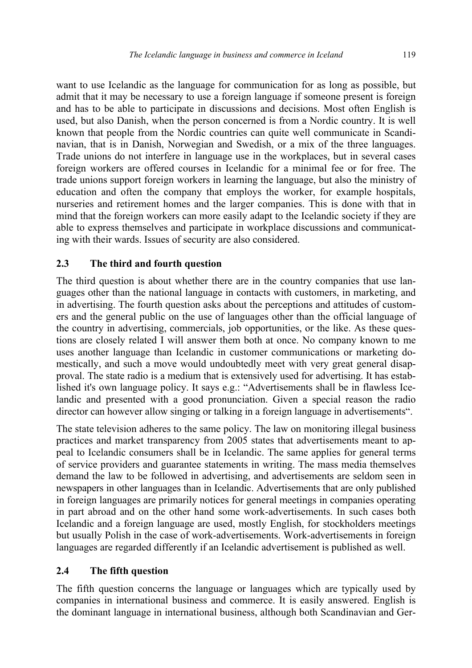want to use Icelandic as the language for communication for as long as possible, but admit that it may be necessary to use a foreign language if someone present is foreign and has to be able to participate in discussions and decisions. Most often English is used, but also Danish, when the person concerned is from a Nordic country. It is well known that people from the Nordic countries can quite well communicate in Scandinavian, that is in Danish, Norwegian and Swedish, or a mix of the three languages. Trade unions do not interfere in language use in the workplaces, but in several cases foreign workers are offered courses in Icelandic for a minimal fee or for free. The trade unions support foreign workers in learning the language, but also the ministry of education and often the company that employs the worker, for example hospitals, nurseries and retirement homes and the larger companies. This is done with that in mind that the foreign workers can more easily adapt to the Icelandic society if they are able to express themselves and participate in workplace discussions and communicating with their wards. Issues of security are also considered.

# **2.3 The third and fourth question**

The third question is about whether there are in the country companies that use languages other than the national language in contacts with customers, in marketing, and in advertising. The fourth question asks about the perceptions and attitudes of customers and the general public on the use of languages other than the official language of the country in advertising, commercials, job opportunities, or the like. As these questions are closely related I will answer them both at once. No company known to me uses another language than Icelandic in customer communications or marketing domestically, and such a move would undoubtedly meet with very great general disapproval. The state radio is a medium that is extensively used for advertising. It has established it's own language policy. It says e.g.: "Advertisements shall be in flawless Icelandic and presented with a good pronunciation. Given a special reason the radio director can however allow singing or talking in a foreign language in advertisements".

The state television adheres to the same policy. The law on monitoring illegal business practices and market transparency from 2005 states that advertisements meant to appeal to Icelandic consumers shall be in Icelandic. The same applies for general terms of service providers and guarantee statements in writing. The mass media themselves demand the law to be followed in advertising, and advertisements are seldom seen in newspapers in other languages than in Icelandic. Advertisements that are only published in foreign languages are primarily notices for general meetings in companies operating in part abroad and on the other hand some work-advertisements. In such cases both Icelandic and a foreign language are used, mostly English, for stockholders meetings but usually Polish in the case of work-advertisements. Work-advertisements in foreign languages are regarded differently if an Icelandic advertisement is published as well.

# **2.4 The fifth question**

The fifth question concerns the language or languages which are typically used by companies in international business and commerce. It is easily answered. English is the dominant language in international business, although both Scandinavian and Ger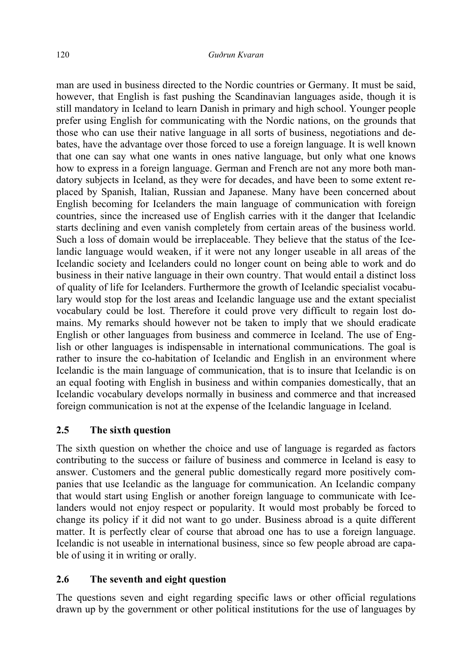man are used in business directed to the Nordic countries or Germany. It must be said, however, that English is fast pushing the Scandinavian languages aside, though it is still mandatory in Iceland to learn Danish in primary and high school. Younger people prefer using English for communicating with the Nordic nations, on the grounds that those who can use their native language in all sorts of business, negotiations and debates, have the advantage over those forced to use a foreign language. It is well known that one can say what one wants in ones native language, but only what one knows how to express in a foreign language. German and French are not any more both mandatory subjects in Iceland, as they were for decades, and have been to some extent replaced by Spanish, Italian, Russian and Japanese. Many have been concerned about English becoming for Icelanders the main language of communication with foreign countries, since the increased use of English carries with it the danger that Icelandic starts declining and even vanish completely from certain areas of the business world. Such a loss of domain would be irreplaceable. They believe that the status of the Icelandic language would weaken, if it were not any longer useable in all areas of the Icelandic society and Icelanders could no longer count on being able to work and do business in their native language in their own country. That would entail a distinct loss of quality of life for Icelanders. Furthermore the growth of Icelandic specialist vocabulary would stop for the lost areas and Icelandic language use and the extant specialist vocabulary could be lost. Therefore it could prove very difficult to regain lost domains. My remarks should however not be taken to imply that we should eradicate English or other languages from business and commerce in Iceland. The use of English or other languages is indispensable in international communications. The goal is rather to insure the co-habitation of Icelandic and English in an environment where Icelandic is the main language of communication, that is to insure that Icelandic is on an equal footing with English in business and within companies domestically, that an Icelandic vocabulary develops normally in business and commerce and that increased foreign communication is not at the expense of the Icelandic language in Iceland.

# **2.5 The sixth question**

The sixth question on whether the choice and use of language is regarded as factors contributing to the success or failure of business and commerce in Iceland is easy to answer. Customers and the general public domestically regard more positively companies that use Icelandic as the language for communication. An Icelandic company that would start using English or another foreign language to communicate with Icelanders would not enjoy respect or popularity. It would most probably be forced to change its policy if it did not want to go under. Business abroad is a quite different matter. It is perfectly clear of course that abroad one has to use a foreign language. Icelandic is not useable in international business, since so few people abroad are capable of using it in writing or orally.

# **2.6 The seventh and eight question**

The questions seven and eight regarding specific laws or other official regulations drawn up by the government or other political institutions for the use of languages by